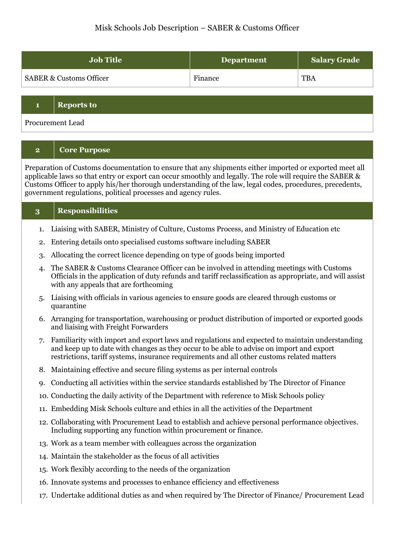### Misk Schools Job Description – SABER & Customs Officer

| <b>Job Title</b>                   | <b>Department</b> | <b>Salary Grade</b> |
|------------------------------------|-------------------|---------------------|
| <b>SABER &amp; Customs Officer</b> | Finance           | <b>TBA</b>          |

#### **1 Reports to**

Procurement Lead

#### **2 Core Purpose**

Preparation of Customs documentation to ensure that any shipments either imported or exported meet all applicable laws so that entry or export can occur smoothly and legally. The role will require the SABER & Customs Officer to apply his/her thorough understanding of the law, legal codes, procedures, precedents, government regulations, political processes and agency rules.

| 3  | <b>Responsibilities</b>                                                                                                                                                                                                                                                                  |
|----|------------------------------------------------------------------------------------------------------------------------------------------------------------------------------------------------------------------------------------------------------------------------------------------|
| 1. | Liaising with SABER, Ministry of Culture, Customs Process, and Ministry of Education etc.                                                                                                                                                                                                |
| 2. | Entering details onto specialised customs software including SABER                                                                                                                                                                                                                       |
| 3. | Allocating the correct licence depending on type of goods being imported                                                                                                                                                                                                                 |
| 4. | The SABER & Customs Clearance Officer can be involved in attending meetings with Customs<br>Officials in the application of duty refunds and tariff reclassification as appropriate, and will assist<br>with any appeals that are forthcoming                                            |
| 5. | Liaising with officials in various agencies to ensure goods are cleared through customs or<br>quarantine                                                                                                                                                                                 |
| 6. | Arranging for transportation, warehousing or product distribution of imported or exported goods<br>and liaising with Freight Forwarders                                                                                                                                                  |
| 7. | Familiarity with import and export laws and regulations and expected to maintain understanding<br>and keep up to date with changes as they occur to be able to advise on import and export<br>restrictions, tariff systems, insurance requirements and all other customs related matters |
| 8. | Maintaining effective and secure filing systems as per internal controls                                                                                                                                                                                                                 |
|    | 9. Conducting all activities within the service standards established by The Director of Finance                                                                                                                                                                                         |
|    | 10. Conducting the daily activity of the Department with reference to Misk Schools policy                                                                                                                                                                                                |
|    | 11. Embedding Misk Schools culture and ethics in all the activities of the Department                                                                                                                                                                                                    |
|    | 12. Collaborating with Procurement Lead to establish and achieve personal performance objectives.<br>Including supporting any function within procurement or finance.                                                                                                                    |
|    | 13. Work as a team member with colleagues across the organization                                                                                                                                                                                                                        |
|    | 14. Maintain the stakeholder as the focus of all activities                                                                                                                                                                                                                              |
|    | 15. Work flexibly according to the needs of the organization                                                                                                                                                                                                                             |
|    | 16. Innovate systems and processes to enhance efficiency and effectiveness                                                                                                                                                                                                               |
|    | 17. Undertake additional duties as and when required by The Director of Finance/ Procurement Lead                                                                                                                                                                                        |